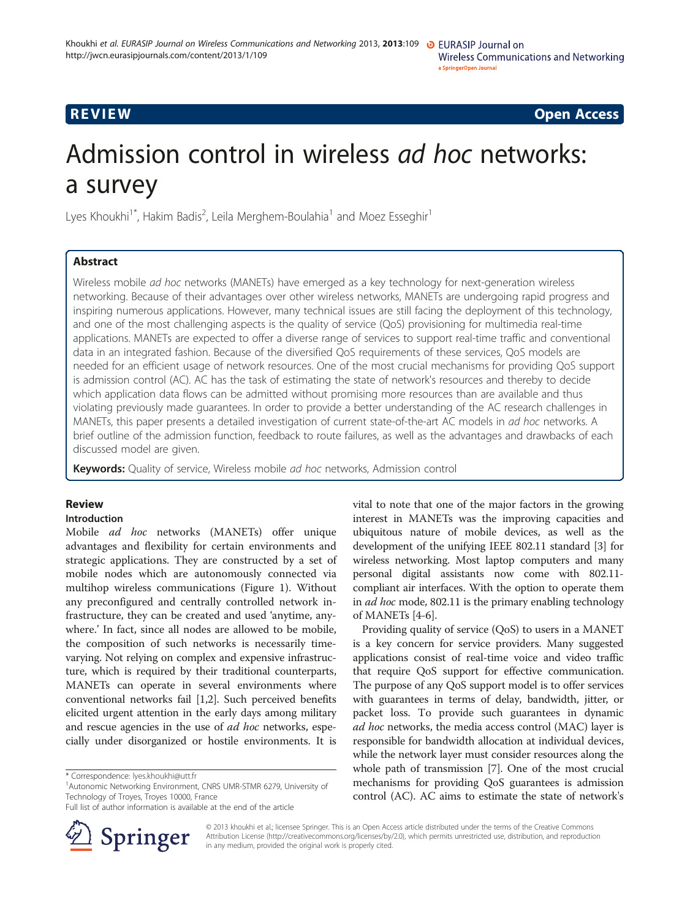**REVIEW REVIEW CONSTRUCTER CONSTRUCTION** 

# Admission control in wireless ad hoc networks: a survey

Lyes Khoukhi<sup>1\*</sup>, Hakim Badis<sup>2</sup>, Leila Merghem-Boulahia<sup>1</sup> and Moez Esseghir<sup>1</sup>

# Abstract

Wireless mobile ad hoc networks (MANETs) have emerged as a key technology for next-generation wireless networking. Because of their advantages over other wireless networks, MANETs are undergoing rapid progress and inspiring numerous applications. However, many technical issues are still facing the deployment of this technology, and one of the most challenging aspects is the quality of service (QoS) provisioning for multimedia real-time applications. MANETs are expected to offer a diverse range of services to support real-time traffic and conventional data in an integrated fashion. Because of the diversified QoS requirements of these services, QoS models are needed for an efficient usage of network resources. One of the most crucial mechanisms for providing QoS support is admission control (AC). AC has the task of estimating the state of network's resources and thereby to decide which application data flows can be admitted without promising more resources than are available and thus violating previously made guarantees. In order to provide a better understanding of the AC research challenges in MANETs, this paper presents a detailed investigation of current state-of-the-art AC models in ad hoc networks. A brief outline of the admission function, feedback to route failures, as well as the advantages and drawbacks of each discussed model are given.

Keywords: Quality of service, Wireless mobile ad hoc networks, Admission control

# Review

#### Introduction

Mobile ad hoc networks (MANETs) offer unique advantages and flexibility for certain environments and strategic applications. They are constructed by a set of mobile nodes which are autonomously connected via multihop wireless communications (Figure [1](#page-1-0)). Without any preconfigured and centrally controlled network infrastructure, they can be created and used 'anytime, anywhere.' In fact, since all nodes are allowed to be mobile, the composition of such networks is necessarily timevarying. Not relying on complex and expensive infrastructure, which is required by their traditional counterparts, MANETs can operate in several environments where conventional networks fail [\[1,2](#page-11-0)]. Such perceived benefits elicited urgent attention in the early days among military and rescue agencies in the use of ad hoc networks, especially under disorganized or hostile environments. It is

Full list of author information is available at the end of the article



vital to note that one of the major factors in the growing interest in MANETs was the improving capacities and ubiquitous nature of mobile devices, as well as the development of the unifying IEEE 802.11 standard [[3\]](#page-11-0) for wireless networking. Most laptop computers and many personal digital assistants now come with 802.11 compliant air interfaces. With the option to operate them in *ad hoc* mode, 802.11 is the primary enabling technology of MANETs [\[4-6](#page-11-0)].

Providing quality of service (QoS) to users in a MANET is a key concern for service providers. Many suggested applications consist of real-time voice and video traffic that require QoS support for effective communication. The purpose of any QoS support model is to offer services with guarantees in terms of delay, bandwidth, jitter, or packet loss. To provide such guarantees in dynamic ad hoc networks, the media access control (MAC) layer is responsible for bandwidth allocation at individual devices, while the network layer must consider resources along the whole path of transmission [\[7](#page-11-0)]. One of the most crucial mechanisms for providing QoS guarantees is admission control (AC). AC aims to estimate the state of network's

© 2013 khoukhi et al.; licensee Springer. This is an Open Access article distributed under the terms of the Creative Commons Attribution License [\(http://creativecommons.org/licenses/by/2.0\)](http://creativecommons.org/licenses/by/2.0), which permits unrestricted use, distribution, and reproduction in any medium, provided the original work is properly cited.

<sup>\*</sup> Correspondence: [lyes.khoukhi@utt.fr](mailto:lyes.khoukhi@utt.fr) <sup>1</sup>

<sup>&</sup>lt;sup>1</sup> Autonomic Networking Environment, CNRS UMR-STMR 6279, University of Technology of Troyes, Troyes 10000, France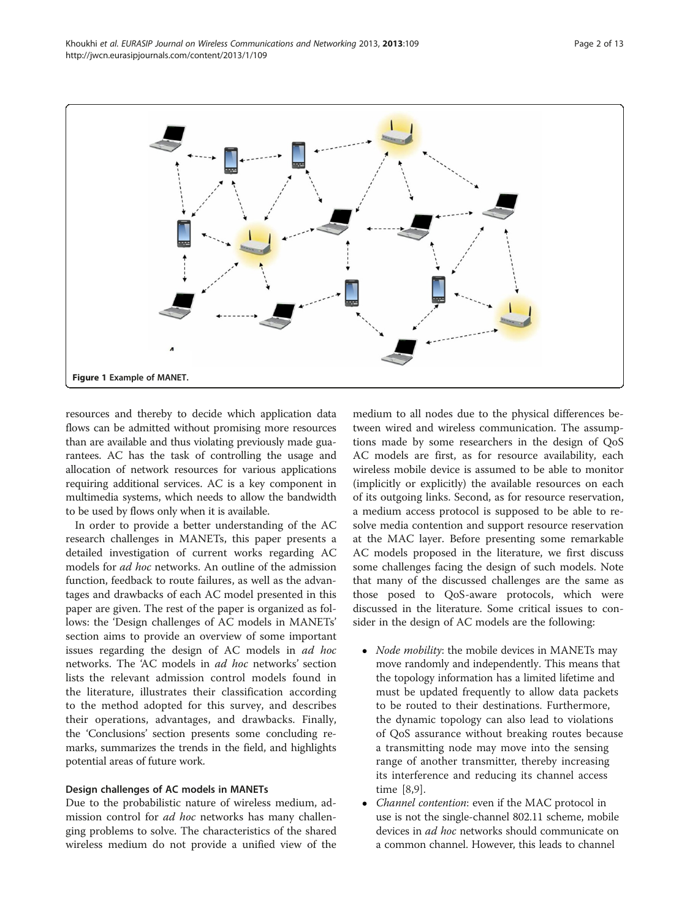<span id="page-1-0"></span>

resources and thereby to decide which application data flows can be admitted without promising more resources than are available and thus violating previously made guarantees. AC has the task of controlling the usage and allocation of network resources for various applications requiring additional services. AC is a key component in multimedia systems, which needs to allow the bandwidth to be used by flows only when it is available.

In order to provide a better understanding of the AC research challenges in MANETs, this paper presents a detailed investigation of current works regarding AC models for ad hoc networks. An outline of the admission function, feedback to route failures, as well as the advantages and drawbacks of each AC model presented in this paper are given. The rest of the paper is organized as follows: the 'Design challenges of AC models in MANETs' section aims to provide an overview of some important issues regarding the design of AC models in ad hoc networks. The '[AC models in](#page-2-0) ad hoc networks' section lists the relevant admission control models found in the literature, illustrates their classification according to the method adopted for this survey, and describes their operations, advantages, and drawbacks. Finally, the '[Conclusions](#page-8-0)' section presents some concluding remarks, summarizes the trends in the field, and highlights potential areas of future work.

#### Design challenges of AC models in MANETs

Due to the probabilistic nature of wireless medium, admission control for *ad hoc* networks has many challenging problems to solve. The characteristics of the shared wireless medium do not provide a unified view of the medium to all nodes due to the physical differences between wired and wireless communication. The assumptions made by some researchers in the design of QoS AC models are first, as for resource availability, each wireless mobile device is assumed to be able to monitor (implicitly or explicitly) the available resources on each of its outgoing links. Second, as for resource reservation, a medium access protocol is supposed to be able to resolve media contention and support resource reservation at the MAC layer. Before presenting some remarkable AC models proposed in the literature, we first discuss some challenges facing the design of such models. Note that many of the discussed challenges are the same as those posed to QoS-aware protocols, which were discussed in the literature. Some critical issues to consider in the design of AC models are the following:

- *Node mobility*: the mobile devices in MANETs may move randomly and independently. This means that the topology information has a limited lifetime and must be updated frequently to allow data packets to be routed to their destinations. Furthermore, the dynamic topology can also lead to violations of QoS assurance without breaking routes because a transmitting node may move into the sensing range of another transmitter, thereby increasing its interference and reducing its channel access time [\[8,9](#page-11-0)].
- Channel contention: even if the MAC protocol in use is not the single-channel 802.11 scheme, mobile devices in ad hoc networks should communicate on a common channel. However, this leads to channel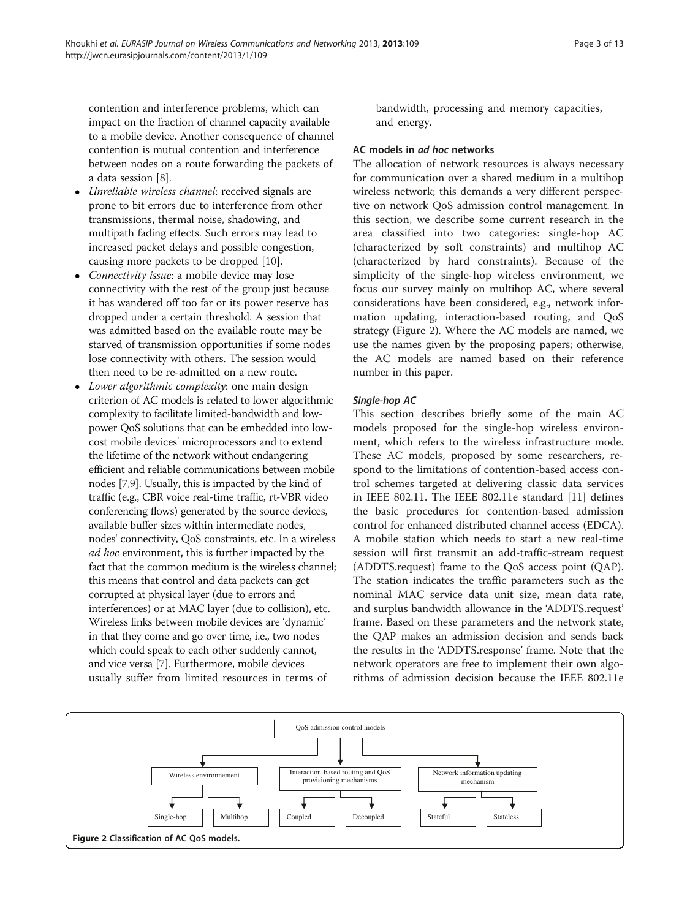<span id="page-2-0"></span>contention and interference problems, which can impact on the fraction of channel capacity available to a mobile device. Another consequence of channel contention is mutual contention and interference between nodes on a route forwarding the packets of a data session [\[8\]](#page-11-0).

- *Unreliable wireless channel*: received signals are prone to bit errors due to interference from other transmissions, thermal noise, shadowing, and multipath fading effects. Such errors may lead to increased packet delays and possible congestion, causing more packets to be dropped [\[10\]](#page-11-0).
- Connectivity issue: a mobile device may lose connectivity with the rest of the group just because it has wandered off too far or its power reserve has dropped under a certain threshold. A session that was admitted based on the available route may be starved of transmission opportunities if some nodes lose connectivity with others. The session would then need to be re-admitted on a new route.
- Lower algorithmic complexity: one main design criterion of AC models is related to lower algorithmic complexity to facilitate limited-bandwidth and lowpower QoS solutions that can be embedded into lowcost mobile devices' microprocessors and to extend the lifetime of the network without endangering efficient and reliable communications between mobile nodes [\[7,9\]](#page-11-0). Usually, this is impacted by the kind of traffic (e.g., CBR voice real-time traffic, rt-VBR video conferencing flows) generated by the source devices, available buffer sizes within intermediate nodes, nodes' connectivity, QoS constraints, etc. In a wireless ad hoc environment, this is further impacted by the fact that the common medium is the wireless channel; this means that control and data packets can get corrupted at physical layer (due to errors and interferences) or at MAC layer (due to collision), etc. Wireless links between mobile devices are 'dynamic' in that they come and go over time, i.e., two nodes which could speak to each other suddenly cannot, and vice versa [[7](#page-11-0)]. Furthermore, mobile devices usually suffer from limited resources in terms of

bandwidth, processing and memory capacities, and energy.

#### AC models in ad hoc networks

The allocation of network resources is always necessary for communication over a shared medium in a multihop wireless network; this demands a very different perspective on network QoS admission control management. In this section, we describe some current research in the area classified into two categories: single-hop AC (characterized by soft constraints) and multihop AC (characterized by hard constraints). Because of the simplicity of the single-hop wireless environment, we focus our survey mainly on multihop AC, where several considerations have been considered, e.g., network information updating, interaction-based routing, and QoS strategy (Figure 2). Where the AC models are named, we use the names given by the proposing papers; otherwise, the AC models are named based on their reference number in this paper.

# Single-hop AC

This section describes briefly some of the main AC models proposed for the single-hop wireless environment, which refers to the wireless infrastructure mode. These AC models, proposed by some researchers, respond to the limitations of contention-based access control schemes targeted at delivering classic data services in IEEE 802.11. The IEEE 802.11e standard [\[11](#page-11-0)] defines the basic procedures for contention-based admission control for enhanced distributed channel access (EDCA). A mobile station which needs to start a new real-time session will first transmit an add-traffic-stream request (ADDTS.request) frame to the QoS access point (QAP). The station indicates the traffic parameters such as the nominal MAC service data unit size, mean data rate, and surplus bandwidth allowance in the 'ADDTS.request' frame. Based on these parameters and the network state, the QAP makes an admission decision and sends back the results in the 'ADDTS.response' frame. Note that the network operators are free to implement their own algorithms of admission decision because the IEEE 802.11e

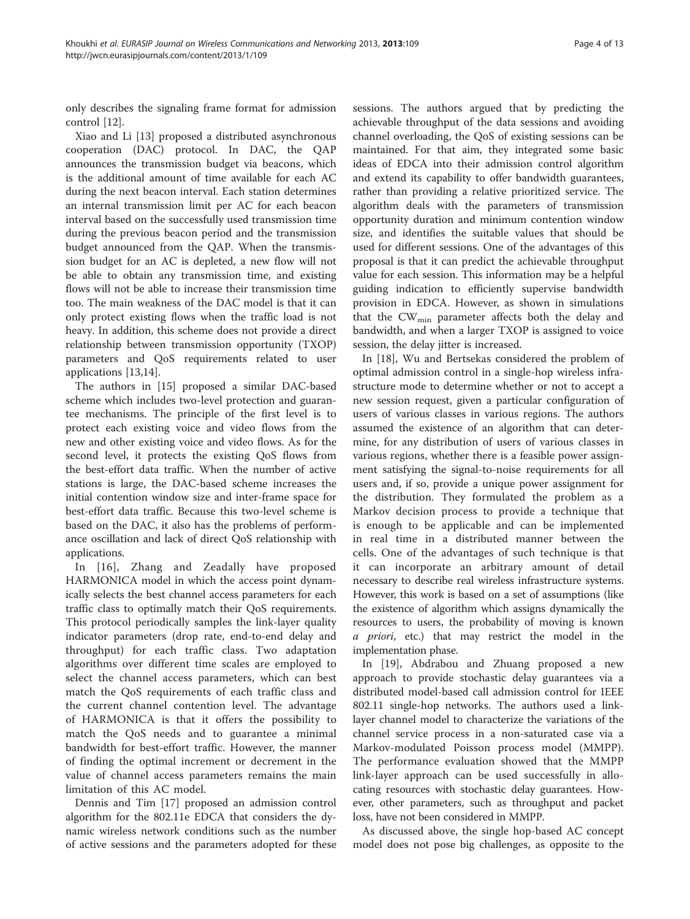only describes the signaling frame format for admission control [\[12](#page-11-0)].

Xiao and Li [[13](#page-11-0)] proposed a distributed asynchronous cooperation (DAC) protocol. In DAC, the QAP announces the transmission budget via beacons, which is the additional amount of time available for each AC during the next beacon interval. Each station determines an internal transmission limit per AC for each beacon interval based on the successfully used transmission time during the previous beacon period and the transmission budget announced from the QAP. When the transmission budget for an AC is depleted, a new flow will not be able to obtain any transmission time, and existing flows will not be able to increase their transmission time too. The main weakness of the DAC model is that it can only protect existing flows when the traffic load is not heavy. In addition, this scheme does not provide a direct relationship between transmission opportunity (TXOP) parameters and QoS requirements related to user applications [[13](#page-11-0),[14](#page-11-0)].

The authors in [[15\]](#page-11-0) proposed a similar DAC-based scheme which includes two-level protection and guarantee mechanisms. The principle of the first level is to protect each existing voice and video flows from the new and other existing voice and video flows. As for the second level, it protects the existing QoS flows from the best-effort data traffic. When the number of active stations is large, the DAC-based scheme increases the initial contention window size and inter-frame space for best-effort data traffic. Because this two-level scheme is based on the DAC, it also has the problems of performance oscillation and lack of direct QoS relationship with applications.

In [[16](#page-11-0)], Zhang and Zeadally have proposed HARMONICA model in which the access point dynamically selects the best channel access parameters for each traffic class to optimally match their QoS requirements. This protocol periodically samples the link-layer quality indicator parameters (drop rate, end-to-end delay and throughput) for each traffic class. Two adaptation algorithms over different time scales are employed to select the channel access parameters, which can best match the QoS requirements of each traffic class and the current channel contention level. The advantage of HARMONICA is that it offers the possibility to match the QoS needs and to guarantee a minimal bandwidth for best-effort traffic. However, the manner of finding the optimal increment or decrement in the value of channel access parameters remains the main limitation of this AC model.

Dennis and Tim [\[17\]](#page-11-0) proposed an admission control algorithm for the 802.11e EDCA that considers the dynamic wireless network conditions such as the number of active sessions and the parameters adopted for these

sessions. The authors argued that by predicting the achievable throughput of the data sessions and avoiding channel overloading, the QoS of existing sessions can be maintained. For that aim, they integrated some basic ideas of EDCA into their admission control algorithm and extend its capability to offer bandwidth guarantees, rather than providing a relative prioritized service. The algorithm deals with the parameters of transmission opportunity duration and minimum contention window size, and identifies the suitable values that should be used for different sessions. One of the advantages of this proposal is that it can predict the achievable throughput value for each session. This information may be a helpful guiding indication to efficiently supervise bandwidth provision in EDCA. However, as shown in simulations that the  $CW_{min}$  parameter affects both the delay and bandwidth, and when a larger TXOP is assigned to voice session, the delay jitter is increased.

In [\[18](#page-11-0)], Wu and Bertsekas considered the problem of optimal admission control in a single-hop wireless infrastructure mode to determine whether or not to accept a new session request, given a particular configuration of users of various classes in various regions. The authors assumed the existence of an algorithm that can determine, for any distribution of users of various classes in various regions, whether there is a feasible power assignment satisfying the signal-to-noise requirements for all users and, if so, provide a unique power assignment for the distribution. They formulated the problem as a Markov decision process to provide a technique that is enough to be applicable and can be implemented in real time in a distributed manner between the cells. One of the advantages of such technique is that it can incorporate an arbitrary amount of detail necessary to describe real wireless infrastructure systems. However, this work is based on a set of assumptions (like the existence of algorithm which assigns dynamically the resources to users, the probability of moving is known a priori, etc.) that may restrict the model in the implementation phase.

In [\[19\]](#page-12-0), Abdrabou and Zhuang proposed a new approach to provide stochastic delay guarantees via a distributed model-based call admission control for IEEE 802.11 single-hop networks. The authors used a linklayer channel model to characterize the variations of the channel service process in a non-saturated case via a Markov-modulated Poisson process model (MMPP). The performance evaluation showed that the MMPP link-layer approach can be used successfully in allocating resources with stochastic delay guarantees. However, other parameters, such as throughput and packet loss, have not been considered in MMPP.

As discussed above, the single hop-based AC concept model does not pose big challenges, as opposite to the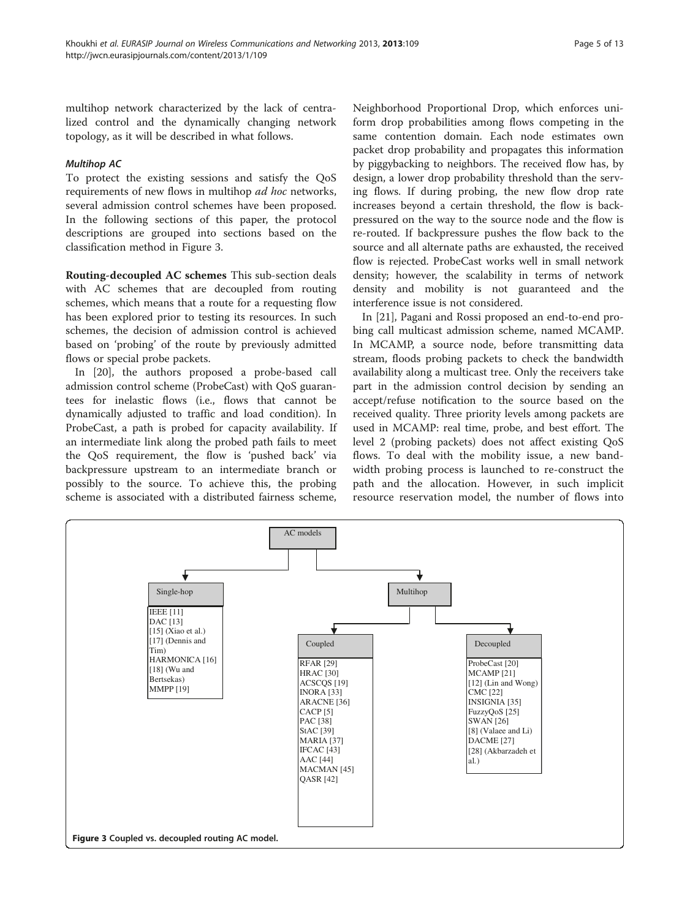multihop network characterized by the lack of centralized control and the dynamically changing network topology, as it will be described in what follows.

# Multihop AC

To protect the existing sessions and satisfy the QoS requirements of new flows in multihop ad hoc networks, several admission control schemes have been proposed. In the following sections of this paper, the protocol descriptions are grouped into sections based on the classification method in Figure 3.

Routing-decoupled AC schemes This sub-section deals with AC schemes that are decoupled from routing schemes, which means that a route for a requesting flow has been explored prior to testing its resources. In such schemes, the decision of admission control is achieved based on 'probing' of the route by previously admitted flows or special probe packets.

In [[20](#page-12-0)], the authors proposed a probe-based call admission control scheme (ProbeCast) with QoS guarantees for inelastic flows (i.e., flows that cannot be dynamically adjusted to traffic and load condition). In ProbeCast, a path is probed for capacity availability. If an intermediate link along the probed path fails to meet the QoS requirement, the flow is 'pushed back' via backpressure upstream to an intermediate branch or possibly to the source. To achieve this, the probing scheme is associated with a distributed fairness scheme, Neighborhood Proportional Drop, which enforces uniform drop probabilities among flows competing in the same contention domain. Each node estimates own packet drop probability and propagates this information by piggybacking to neighbors. The received flow has, by design, a lower drop probability threshold than the serving flows. If during probing, the new flow drop rate increases beyond a certain threshold, the flow is backpressured on the way to the source node and the flow is re-routed. If backpressure pushes the flow back to the source and all alternate paths are exhausted, the received flow is rejected. ProbeCast works well in small network density; however, the scalability in terms of network density and mobility is not guaranteed and the interference issue is not considered.

In [[21](#page-12-0)], Pagani and Rossi proposed an end-to-end probing call multicast admission scheme, named MCAMP. In MCAMP, a source node, before transmitting data stream, floods probing packets to check the bandwidth availability along a multicast tree. Only the receivers take part in the admission control decision by sending an accept/refuse notification to the source based on the received quality. Three priority levels among packets are used in MCAMP: real time, probe, and best effort. The level 2 (probing packets) does not affect existing QoS flows. To deal with the mobility issue, a new bandwidth probing process is launched to re-construct the path and the allocation. However, in such implicit resource reservation model, the number of flows into

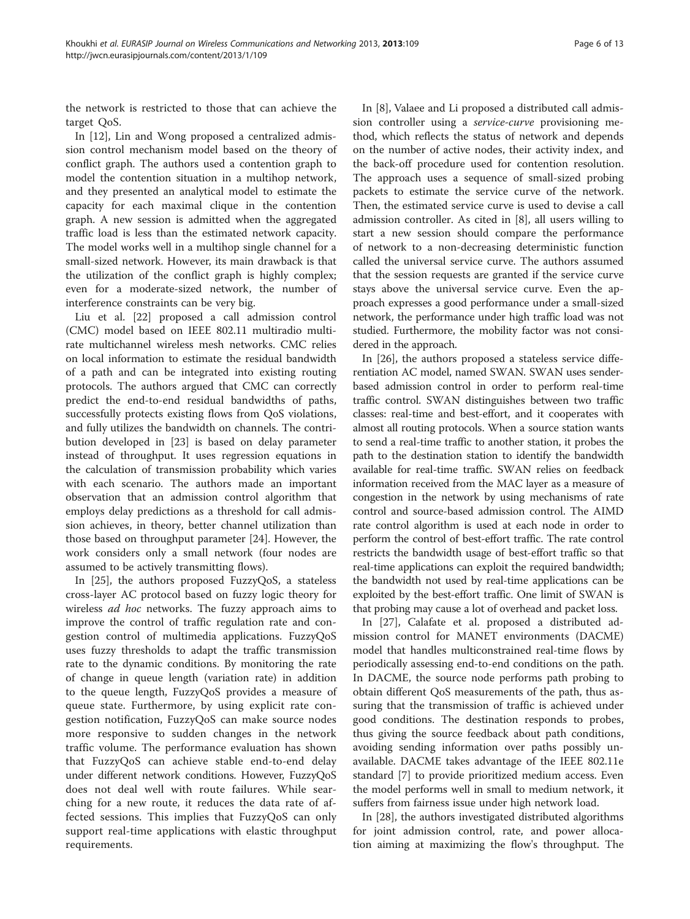the network is restricted to those that can achieve the target QoS.

In [\[12](#page-11-0)], Lin and Wong proposed a centralized admission control mechanism model based on the theory of conflict graph. The authors used a contention graph to model the contention situation in a multihop network, and they presented an analytical model to estimate the capacity for each maximal clique in the contention graph. A new session is admitted when the aggregated traffic load is less than the estimated network capacity. The model works well in a multihop single channel for a small-sized network. However, its main drawback is that the utilization of the conflict graph is highly complex; even for a moderate-sized network, the number of interference constraints can be very big.

Liu et al. [[22\]](#page-12-0) proposed a call admission control (CMC) model based on IEEE 802.11 multiradio multirate multichannel wireless mesh networks. CMC relies on local information to estimate the residual bandwidth of a path and can be integrated into existing routing protocols. The authors argued that CMC can correctly predict the end-to-end residual bandwidths of paths, successfully protects existing flows from QoS violations, and fully utilizes the bandwidth on channels. The contribution developed in [\[23](#page-12-0)] is based on delay parameter instead of throughput. It uses regression equations in the calculation of transmission probability which varies with each scenario. The authors made an important observation that an admission control algorithm that employs delay predictions as a threshold for call admission achieves, in theory, better channel utilization than those based on throughput parameter [\[24](#page-12-0)]. However, the work considers only a small network (four nodes are assumed to be actively transmitting flows).

In [[25\]](#page-12-0), the authors proposed FuzzyQoS, a stateless cross-layer AC protocol based on fuzzy logic theory for wireless *ad hoc* networks. The fuzzy approach aims to improve the control of traffic regulation rate and congestion control of multimedia applications. FuzzyQoS uses fuzzy thresholds to adapt the traffic transmission rate to the dynamic conditions. By monitoring the rate of change in queue length (variation rate) in addition to the queue length, FuzzyQoS provides a measure of queue state. Furthermore, by using explicit rate congestion notification, FuzzyQoS can make source nodes more responsive to sudden changes in the network traffic volume. The performance evaluation has shown that FuzzyQoS can achieve stable end-to-end delay under different network conditions. However, FuzzyQoS does not deal well with route failures. While searching for a new route, it reduces the data rate of affected sessions. This implies that FuzzyQoS can only support real-time applications with elastic throughput requirements.

In [[8\]](#page-11-0), Valaee and Li proposed a distributed call admission controller using a service-curve provisioning method, which reflects the status of network and depends on the number of active nodes, their activity index, and the back-off procedure used for contention resolution. The approach uses a sequence of small-sized probing packets to estimate the service curve of the network. Then, the estimated service curve is used to devise a call admission controller. As cited in [[8\]](#page-11-0), all users willing to start a new session should compare the performance of network to a non-decreasing deterministic function called the universal service curve. The authors assumed that the session requests are granted if the service curve stays above the universal service curve. Even the approach expresses a good performance under a small-sized network, the performance under high traffic load was not studied. Furthermore, the mobility factor was not considered in the approach.

In [\[26](#page-12-0)], the authors proposed a stateless service differentiation AC model, named SWAN. SWAN uses senderbased admission control in order to perform real-time traffic control. SWAN distinguishes between two traffic classes: real-time and best-effort, and it cooperates with almost all routing protocols. When a source station wants to send a real-time traffic to another station, it probes the path to the destination station to identify the bandwidth available for real-time traffic. SWAN relies on feedback information received from the MAC layer as a measure of congestion in the network by using mechanisms of rate control and source-based admission control. The AIMD rate control algorithm is used at each node in order to perform the control of best-effort traffic. The rate control restricts the bandwidth usage of best-effort traffic so that real-time applications can exploit the required bandwidth; the bandwidth not used by real-time applications can be exploited by the best-effort traffic. One limit of SWAN is that probing may cause a lot of overhead and packet loss.

In [[27\]](#page-12-0), Calafate et al. proposed a distributed admission control for MANET environments (DACME) model that handles multiconstrained real-time flows by periodically assessing end-to-end conditions on the path. In DACME, the source node performs path probing to obtain different QoS measurements of the path, thus assuring that the transmission of traffic is achieved under good conditions. The destination responds to probes, thus giving the source feedback about path conditions, avoiding sending information over paths possibly unavailable. DACME takes advantage of the IEEE 802.11e standard [[7\]](#page-11-0) to provide prioritized medium access. Even the model performs well in small to medium network, it suffers from fairness issue under high network load.

In [[28\]](#page-12-0), the authors investigated distributed algorithms for joint admission control, rate, and power allocation aiming at maximizing the flow's throughput. The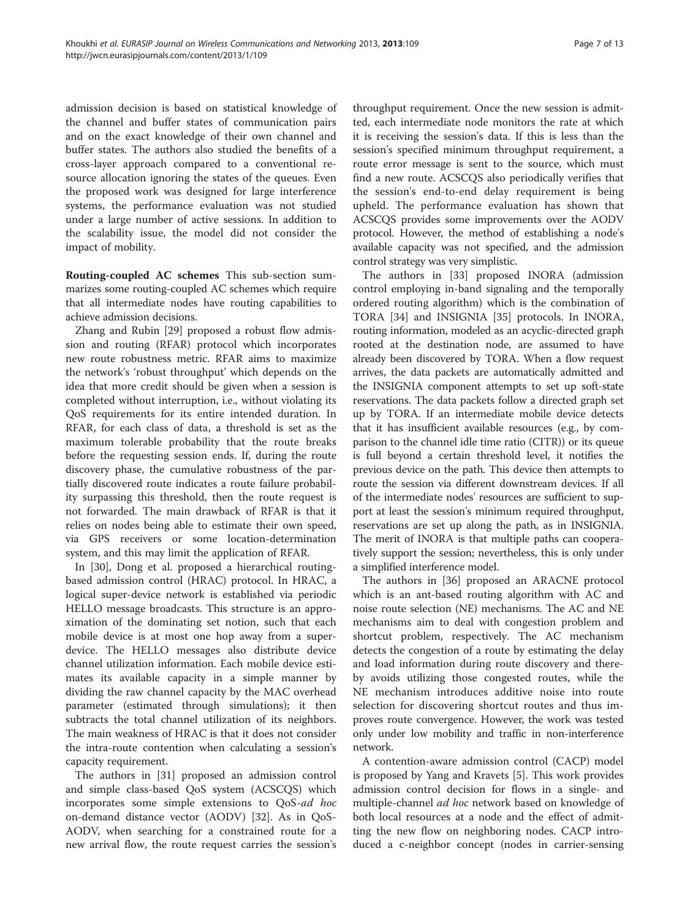admission decision is based on statistical knowledge of the channel and buffer states of communication pairs and on the exact knowledge of their own channel and buffer states. The authors also studied the benefits of a cross-layer approach compared to a conventional resource allocation ignoring the states of the queues. Even the proposed work was designed for large interference systems, the performance evaluation was not studied under a large number of active sessions. In addition to the scalability issue, the model did not consider the impact of mobility.

Routing-coupled AC schemes This sub-section summarizes some routing-coupled AC schemes which require that all intermediate nodes have routing capabilities to achieve admission decisions.

Zhang and Rubin [[29\]](#page-12-0) proposed a robust flow admission and routing (RFAR) protocol which incorporates new route robustness metric. RFAR aims to maximize the network's 'robust throughput' which depends on the idea that more credit should be given when a session is completed without interruption, i.e., without violating its QoS requirements for its entire intended duration. In RFAR, for each class of data, a threshold is set as the maximum tolerable probability that the route breaks before the requesting session ends. If, during the route discovery phase, the cumulative robustness of the partially discovered route indicates a route failure probability surpassing this threshold, then the route request is not forwarded. The main drawback of RFAR is that it relies on nodes being able to estimate their own speed, via GPS receivers or some location-determination system, and this may limit the application of RFAR.

In [\[30\]](#page-12-0), Dong et al. proposed a hierarchical routingbased admission control (HRAC) protocol. In HRAC, a logical super-device network is established via periodic HELLO message broadcasts. This structure is an approximation of the dominating set notion, such that each mobile device is at most one hop away from a superdevice. The HELLO messages also distribute device channel utilization information. Each mobile device estimates its available capacity in a simple manner by dividing the raw channel capacity by the MAC overhead parameter (estimated through simulations); it then subtracts the total channel utilization of its neighbors. The main weakness of HRAC is that it does not consider the intra-route contention when calculating a session's capacity requirement.

The authors in [[31](#page-12-0)] proposed an admission control and simple class-based QoS system (ACSCQS) which incorporates some simple extensions to QoS-ad hoc on-demand distance vector (AODV) [\[32](#page-12-0)]. As in QoS-AODV, when searching for a constrained route for a new arrival flow, the route request carries the session's

throughput requirement. Once the new session is admitted, each intermediate node monitors the rate at which it is receiving the session's data. If this is less than the session's specified minimum throughput requirement, a route error message is sent to the source, which must find a new route. ACSCQS also periodically verifies that the session's end-to-end delay requirement is being upheld. The performance evaluation has shown that ACSCQS provides some improvements over the AODV protocol. However, the method of establishing a node's available capacity was not specified, and the admission control strategy was very simplistic.

The authors in [\[33](#page-12-0)] proposed INORA (admission control employing in-band signaling and the temporally ordered routing algorithm) which is the combination of TORA [[34\]](#page-12-0) and INSIGNIA [[35\]](#page-12-0) protocols. In INORA, routing information, modeled as an acyclic-directed graph rooted at the destination node, are assumed to have already been discovered by TORA. When a flow request arrives, the data packets are automatically admitted and the INSIGNIA component attempts to set up soft-state reservations. The data packets follow a directed graph set up by TORA. If an intermediate mobile device detects that it has insufficient available resources (e.g., by comparison to the channel idle time ratio (CITR)) or its queue is full beyond a certain threshold level, it notifies the previous device on the path. This device then attempts to route the session via different downstream devices. If all of the intermediate nodes' resources are sufficient to support at least the session's minimum required throughput, reservations are set up along the path, as in INSIGNIA. The merit of INORA is that multiple paths can cooperatively support the session; nevertheless, this is only under a simplified interference model.

The authors in [[36\]](#page-12-0) proposed an ARACNE protocol which is an ant-based routing algorithm with AC and noise route selection (NE) mechanisms. The AC and NE mechanisms aim to deal with congestion problem and shortcut problem, respectively. The AC mechanism detects the congestion of a route by estimating the delay and load information during route discovery and thereby avoids utilizing those congested routes, while the NE mechanism introduces additive noise into route selection for discovering shortcut routes and thus improves route convergence. However, the work was tested only under low mobility and traffic in non-interference network.

A contention-aware admission control (CACP) model is proposed by Yang and Kravets [[5\]](#page-11-0). This work provides admission control decision for flows in a single- and multiple-channel *ad hoc* network based on knowledge of both local resources at a node and the effect of admitting the new flow on neighboring nodes. CACP introduced a c-neighbor concept (nodes in carrier-sensing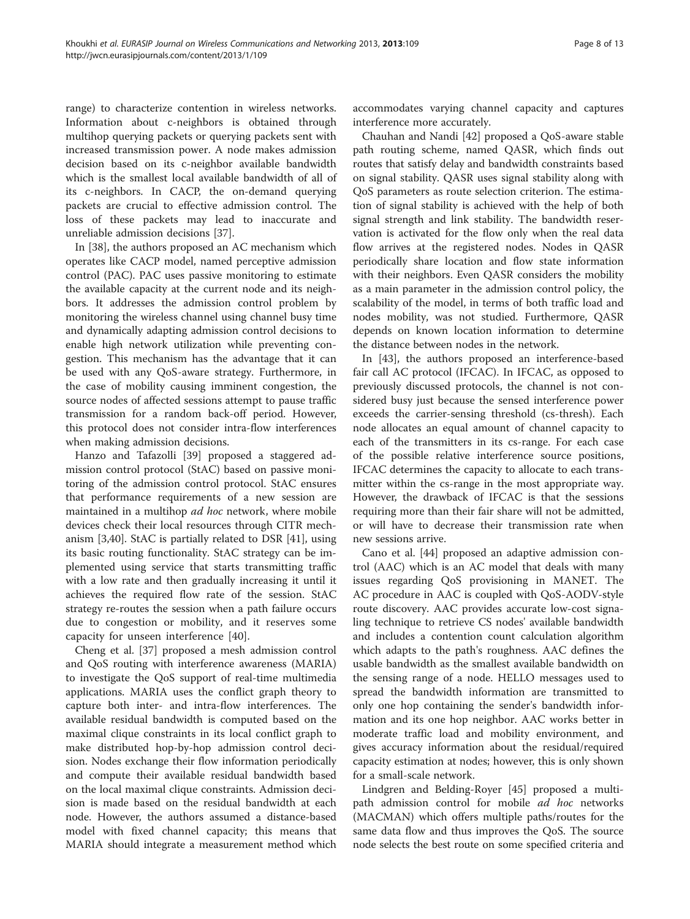range) to characterize contention in wireless networks. Information about c-neighbors is obtained through multihop querying packets or querying packets sent with increased transmission power. A node makes admission decision based on its c-neighbor available bandwidth which is the smallest local available bandwidth of all of its c-neighbors. In CACP, the on-demand querying packets are crucial to effective admission control. The loss of these packets may lead to inaccurate and unreliable admission decisions [\[37](#page-12-0)].

In [\[38](#page-12-0)], the authors proposed an AC mechanism which operates like CACP model, named perceptive admission control (PAC). PAC uses passive monitoring to estimate the available capacity at the current node and its neighbors. It addresses the admission control problem by monitoring the wireless channel using channel busy time and dynamically adapting admission control decisions to enable high network utilization while preventing congestion. This mechanism has the advantage that it can be used with any QoS-aware strategy. Furthermore, in the case of mobility causing imminent congestion, the source nodes of affected sessions attempt to pause traffic transmission for a random back-off period. However, this protocol does not consider intra-flow interferences when making admission decisions.

Hanzo and Tafazolli [\[39\]](#page-12-0) proposed a staggered admission control protocol (StAC) based on passive monitoring of the admission control protocol. StAC ensures that performance requirements of a new session are maintained in a multihop ad hoc network, where mobile devices check their local resources through CITR mechanism [\[3](#page-11-0)[,40](#page-12-0)]. StAC is partially related to DSR [\[41](#page-12-0)], using its basic routing functionality. StAC strategy can be implemented using service that starts transmitting traffic with a low rate and then gradually increasing it until it achieves the required flow rate of the session. StAC strategy re-routes the session when a path failure occurs due to congestion or mobility, and it reserves some capacity for unseen interference [\[40](#page-12-0)].

Cheng et al. [\[37\]](#page-12-0) proposed a mesh admission control and QoS routing with interference awareness (MARIA) to investigate the QoS support of real-time multimedia applications. MARIA uses the conflict graph theory to capture both inter- and intra-flow interferences. The available residual bandwidth is computed based on the maximal clique constraints in its local conflict graph to make distributed hop-by-hop admission control decision. Nodes exchange their flow information periodically and compute their available residual bandwidth based on the local maximal clique constraints. Admission decision is made based on the residual bandwidth at each node. However, the authors assumed a distance-based model with fixed channel capacity; this means that MARIA should integrate a measurement method which

accommodates varying channel capacity and captures interference more accurately.

Chauhan and Nandi [\[42\]](#page-12-0) proposed a QoS-aware stable path routing scheme, named QASR, which finds out routes that satisfy delay and bandwidth constraints based on signal stability. QASR uses signal stability along with QoS parameters as route selection criterion. The estimation of signal stability is achieved with the help of both signal strength and link stability. The bandwidth reservation is activated for the flow only when the real data flow arrives at the registered nodes. Nodes in QASR periodically share location and flow state information with their neighbors. Even QASR considers the mobility as a main parameter in the admission control policy, the scalability of the model, in terms of both traffic load and nodes mobility, was not studied. Furthermore, QASR depends on known location information to determine the distance between nodes in the network.

In [[43\]](#page-12-0), the authors proposed an interference-based fair call AC protocol (IFCAC). In IFCAC, as opposed to previously discussed protocols, the channel is not considered busy just because the sensed interference power exceeds the carrier-sensing threshold (cs-thresh). Each node allocates an equal amount of channel capacity to each of the transmitters in its cs-range. For each case of the possible relative interference source positions, IFCAC determines the capacity to allocate to each transmitter within the cs-range in the most appropriate way. However, the drawback of IFCAC is that the sessions requiring more than their fair share will not be admitted, or will have to decrease their transmission rate when new sessions arrive.

Cano et al. [[44](#page-12-0)] proposed an adaptive admission control (AAC) which is an AC model that deals with many issues regarding QoS provisioning in MANET. The AC procedure in AAC is coupled with QoS-AODV-style route discovery. AAC provides accurate low-cost signaling technique to retrieve CS nodes' available bandwidth and includes a contention count calculation algorithm which adapts to the path's roughness. AAC defines the usable bandwidth as the smallest available bandwidth on the sensing range of a node. HELLO messages used to spread the bandwidth information are transmitted to only one hop containing the sender's bandwidth information and its one hop neighbor. AAC works better in moderate traffic load and mobility environment, and gives accuracy information about the residual/required capacity estimation at nodes; however, this is only shown for a small-scale network.

Lindgren and Belding-Royer [[45\]](#page-12-0) proposed a multipath admission control for mobile *ad hoc* networks (MACMAN) which offers multiple paths/routes for the same data flow and thus improves the QoS. The source node selects the best route on some specified criteria and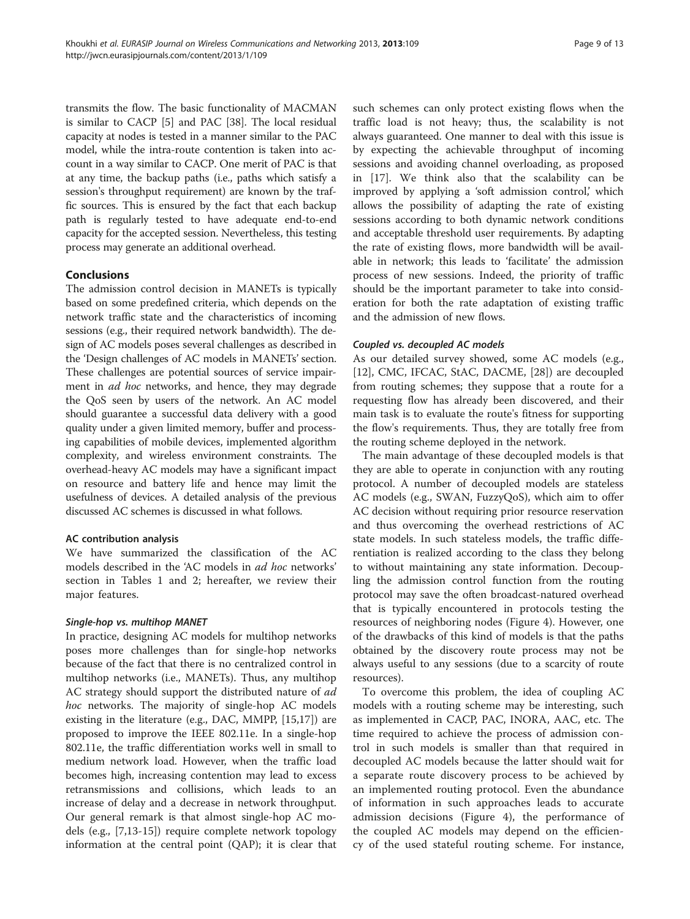<span id="page-8-0"></span>transmits the flow. The basic functionality of MACMAN is similar to CACP [\[5](#page-11-0)] and PAC [\[38\]](#page-12-0). The local residual capacity at nodes is tested in a manner similar to the PAC model, while the intra-route contention is taken into account in a way similar to CACP. One merit of PAC is that at any time, the backup paths (i.e., paths which satisfy a session's throughput requirement) are known by the traffic sources. This is ensured by the fact that each backup path is regularly tested to have adequate end-to-end capacity for the accepted session. Nevertheless, this testing process may generate an additional overhead.

# Conclusions

The admission control decision in MANETs is typically based on some predefined criteria, which depends on the network traffic state and the characteristics of incoming sessions (e.g., their required network bandwidth). The design of AC models poses several challenges as described in the '[Design challenges of AC models in MANETs](#page-1-0)' section. These challenges are potential sources of service impairment in *ad hoc* networks, and hence, they may degrade the QoS seen by users of the network. An AC model should guarantee a successful data delivery with a good quality under a given limited memory, buffer and processing capabilities of mobile devices, implemented algorithm complexity, and wireless environment constraints. The overhead-heavy AC models may have a significant impact on resource and battery life and hence may limit the usefulness of devices. A detailed analysis of the previous discussed AC schemes is discussed in what follows.

# AC contribution analysis

We have summarized the classification of the AC models described in the '[AC models in](#page-2-0) ad hoc networks' section in Tables [1](#page-9-0) and [2](#page-9-0); hereafter, we review their major features.

# Single-hop vs. multihop MANET

In practice, designing AC models for multihop networks poses more challenges than for single-hop networks because of the fact that there is no centralized control in multihop networks (i.e., MANETs). Thus, any multihop AC strategy should support the distributed nature of *ad* hoc networks. The majority of single-hop AC models existing in the literature (e.g., DAC, MMPP, [\[15,17](#page-11-0)]) are proposed to improve the IEEE 802.11e. In a single-hop 802.11e, the traffic differentiation works well in small to medium network load. However, when the traffic load becomes high, increasing contention may lead to excess retransmissions and collisions, which leads to an increase of delay and a decrease in network throughput. Our general remark is that almost single-hop AC models (e.g., [\[7,13](#page-11-0)-[15\]](#page-11-0)) require complete network topology information at the central point (QAP); it is clear that such schemes can only protect existing flows when the traffic load is not heavy; thus, the scalability is not always guaranteed. One manner to deal with this issue is by expecting the achievable throughput of incoming sessions and avoiding channel overloading, as proposed in [[17\]](#page-11-0). We think also that the scalability can be improved by applying a 'soft admission control,' which allows the possibility of adapting the rate of existing sessions according to both dynamic network conditions and acceptable threshold user requirements. By adapting the rate of existing flows, more bandwidth will be available in network; this leads to 'facilitate' the admission process of new sessions. Indeed, the priority of traffic should be the important parameter to take into consideration for both the rate adaptation of existing traffic and the admission of new flows.

# Coupled vs. decoupled AC models

As our detailed survey showed, some AC models (e.g., [[12\]](#page-11-0), CMC, IFCAC, StAC, DACME, [\[28\]](#page-12-0)) are decoupled from routing schemes; they suppose that a route for a requesting flow has already been discovered, and their main task is to evaluate the route's fitness for supporting the flow's requirements. Thus, they are totally free from the routing scheme deployed in the network.

The main advantage of these decoupled models is that they are able to operate in conjunction with any routing protocol. A number of decoupled models are stateless AC models (e.g., SWAN, FuzzyQoS), which aim to offer AC decision without requiring prior resource reservation and thus overcoming the overhead restrictions of AC state models. In such stateless models, the traffic differentiation is realized according to the class they belong to without maintaining any state information. Decoupling the admission control function from the routing protocol may save the often broadcast-natured overhead that is typically encountered in protocols testing the resources of neighboring nodes (Figure [4\)](#page-10-0). However, one of the drawbacks of this kind of models is that the paths obtained by the discovery route process may not be always useful to any sessions (due to a scarcity of route resources).

To overcome this problem, the idea of coupling AC models with a routing scheme may be interesting, such as implemented in CACP, PAC, INORA, AAC, etc. The time required to achieve the process of admission control in such models is smaller than that required in decoupled AC models because the latter should wait for a separate route discovery process to be achieved by an implemented routing protocol. Even the abundance of information in such approaches leads to accurate admission decisions (Figure [4](#page-10-0)), the performance of the coupled AC models may depend on the efficiency of the used stateful routing scheme. For instance,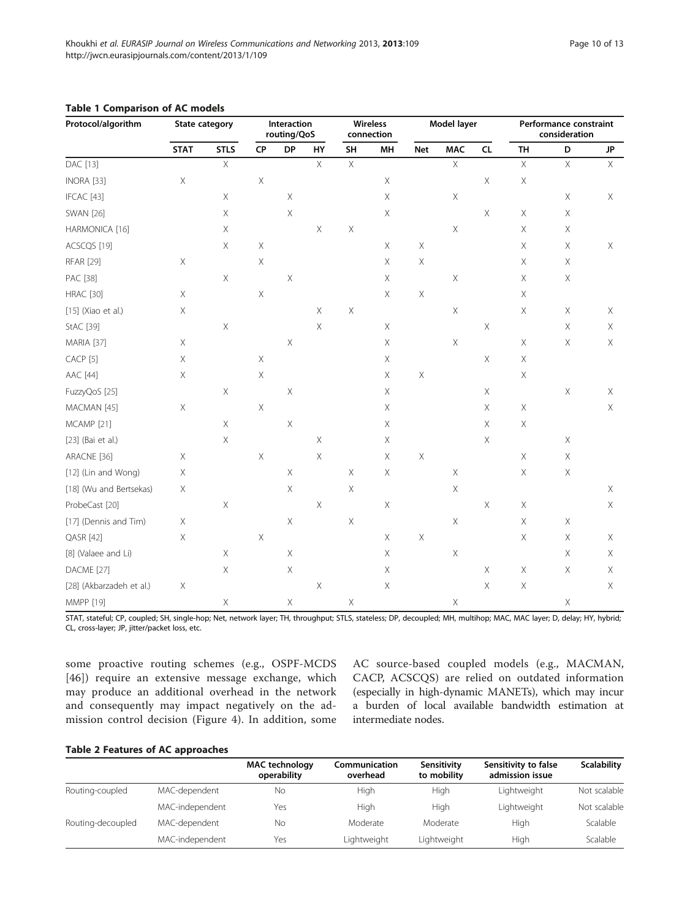<span id="page-9-0"></span>

| <b>Table 1 Comparison of AC models</b> |  |
|----------------------------------------|--|
|----------------------------------------|--|

| Protocol/algorithm       | <b>State category</b> |             | Interaction<br>routing/QoS |             |             | Wireless<br>connection |             | Model layer |             |             | Performance constraint<br>consideration |             |             |
|--------------------------|-----------------------|-------------|----------------------------|-------------|-------------|------------------------|-------------|-------------|-------------|-------------|-----------------------------------------|-------------|-------------|
|                          | <b>STAT</b>           | <b>STLS</b> | CP                         | <b>DP</b>   | HY          | SH                     | MH          | <b>Net</b>  | <b>MAC</b>  | CL          | <b>TH</b>                               | D           | JP          |
| DAC [13]                 |                       | $\mathsf X$ |                            |             | $\mathsf X$ | $\mathsf X$            |             |             | $\mathsf X$ |             | $\mathsf X$                             | $\times$    | $\times$    |
| INORA [33]               | $\mathsf X$           |             | $\mathsf X$                |             |             |                        | $\mathsf X$ |             |             | $\mathsf X$ | $\mathsf X$                             |             |             |
| IFCAC [43]               |                       | $\mathsf X$ |                            | Χ           |             |                        | $\mathsf X$ |             | $\mathsf X$ |             |                                         | $\mathsf X$ | $\mathsf X$ |
| <b>SWAN [26]</b>         |                       | $\mathsf X$ |                            | $\mathsf X$ |             |                        | $\mathsf X$ |             |             | Χ           | $\mathsf X$                             | $\chi$      |             |
| HARMONICA [16]           |                       | $\times$    |                            |             | $\mathsf X$ | $\mathsf X$            |             |             | $\mathsf X$ |             | $\mathsf X$                             | X           |             |
| ACSCQS [19]              |                       | $\times$    | $\mathsf X$                |             |             |                        | $\times$    | $\mathsf X$ |             |             | $\mathsf X$                             | $\times$    | $\mathsf X$ |
| <b>RFAR [29]</b>         | X                     |             | $\mathsf X$                |             |             |                        | $\mathsf X$ | $\mathsf X$ |             |             | $\mathsf X$                             | X           |             |
| PAC [38]                 |                       | Χ           |                            | $\mathsf X$ |             |                        | $\mathsf X$ |             | $\mathsf X$ |             | $\mathsf X$                             | X           |             |
| <b>HRAC [30]</b>         | Χ                     |             | $\mathsf X$                |             |             |                        | $\mathsf X$ | $\mathsf X$ |             |             | $\mathsf X$                             |             |             |
| [15] (Xiao et al.)       | Χ                     |             |                            |             | Χ           | $\mathsf X$            |             |             | $\mathsf X$ |             | $\mathsf X$                             | X           | $\mathsf X$ |
| StAC [39]                |                       | $\mathsf X$ |                            |             | $\mathsf X$ |                        | $\mathsf X$ |             |             | Χ           |                                         | $\mathsf X$ | $\times$    |
| MARIA [37]               | Χ                     |             |                            | $\mathsf X$ |             |                        | $\mathsf X$ |             | $\mathsf X$ |             | $\mathsf X$                             | $\mathsf X$ | $\times$    |
| CACP [5]                 | Χ                     |             | Χ                          |             |             |                        | $\mathsf X$ |             |             | $\mathsf X$ | $\mathsf X$                             |             |             |
| AAC [44]                 | $\mathsf X$           |             | Χ                          |             |             |                        | $\times$    | $\mathsf X$ |             |             | $\mathsf X$                             |             |             |
| FuzzyQoS [25]            |                       | $\mathsf X$ |                            | $\mathsf X$ |             |                        | $\mathsf X$ |             |             | $\mathsf X$ |                                         | $\mathsf X$ | X           |
| MACMAN [45]              | $\times$              |             | $\mathsf X$                |             |             |                        | $\times$    |             |             | Χ           | $\mathsf X$                             |             | $\times$    |
| MCAMP [21]               |                       | $\mathsf X$ |                            | $\mathsf X$ |             |                        | $\mathsf X$ |             |             | $\mathsf X$ | $\mathsf X$                             |             |             |
| [23] (Bai et al.)        |                       | $\mathsf X$ |                            |             | Χ           |                        | $\times$    |             |             | $\mathsf X$ |                                         | X           |             |
| ARACNE [36]              | $\mathsf X$           |             | $\mathsf X$                |             | $\mathsf X$ |                        | $\times$    | $\mathsf X$ |             |             | $\mathsf X$                             | $\mathsf X$ |             |
| [12] (Lin and Wong)      | Χ                     |             |                            | $\mathsf X$ |             | $\mathsf X$            | $\mathsf X$ |             | $\mathsf X$ |             | $\mathsf X$                             | X           |             |
| [18] (Wu and Bertsekas)  | Χ                     |             |                            | $\mathsf X$ |             | $\mathsf X$            |             |             | $\mathsf X$ |             |                                         |             | $\times$    |
| ProbeCast [20]           |                       | $\mathsf X$ |                            |             | Χ           |                        | $\mathsf X$ |             |             | $\mathsf X$ | $\mathsf X$                             |             | X           |
| [17] (Dennis and Tim)    | Χ                     |             |                            | $\mathsf X$ |             | $\mathsf X$            |             |             | $\mathsf X$ |             | $\mathsf X$                             | X           |             |
| QASR [42]                | Χ                     |             | $\mathsf X$                |             |             |                        | $\mathsf X$ | $\mathsf X$ |             |             | $\mathsf X$                             | $\mathsf X$ | $\mathsf X$ |
| [8] (Valaee and Li)      |                       | Χ           |                            | $\mathsf X$ |             |                        | $\mathsf X$ |             | $\mathsf X$ |             |                                         | $\times$    | $\times$    |
| DACME [27]               |                       | $\mathsf X$ |                            | Χ           |             |                        | $\times$    |             |             | $\mathsf X$ | $\mathsf X$                             | $\mathsf X$ | X           |
| [28] (Akbarzadeh et al.) | Χ                     |             |                            |             | Χ           |                        | $\mathsf X$ |             |             | Χ           | $\mathsf X$                             |             | X           |
| MMPP [19]                |                       | $\mathsf X$ |                            | $\mathsf X$ |             | $\mathsf X$            |             |             | $\mathsf X$ |             |                                         | $\mathsf X$ |             |

STAT, stateful; CP, coupled; SH, single-hop; Net, network layer; TH, throughput; STLS, stateless; DP, decoupled; MH, multihop; MAC, MAC layer; D, delay; HY, hybrid; CL, cross-layer; JP, jitter/packet loss, etc.

some proactive routing schemes (e.g., OSPF-MCDS [[46](#page-12-0)]) require an extensive message exchange, which may produce an additional overhead in the network and consequently may impact negatively on the admission control decision (Figure [4](#page-10-0)). In addition, some

AC source-based coupled models (e.g., MACMAN, CACP, ACSCQS) are relied on outdated information (especially in high-dynamic MANETs), which may incur a burden of local available bandwidth estimation at intermediate nodes.

#### Table 2 Features of AC approaches

|                   |                 | <b>MAC</b> technology<br>operability | Communication<br>overhead | Sensitivity<br>to mobility | Sensitivity to false<br>admission issue | <b>Scalability</b> |
|-------------------|-----------------|--------------------------------------|---------------------------|----------------------------|-----------------------------------------|--------------------|
| Routing-coupled   | MAC-dependent   | Νo                                   | High                      | High                       | Lightweight                             | Not scalable       |
|                   | MAC-independent | Yes                                  | Hiah                      | Hiah                       | Lightweight                             | Not scalable       |
| Routing-decoupled | MAC-dependent   | Nο                                   | Moderate                  | Moderate                   | High                                    | Scalable           |
|                   | MAC-independent | Yes                                  | Lightweight               | Lightweight                | Hiah                                    | Scalable           |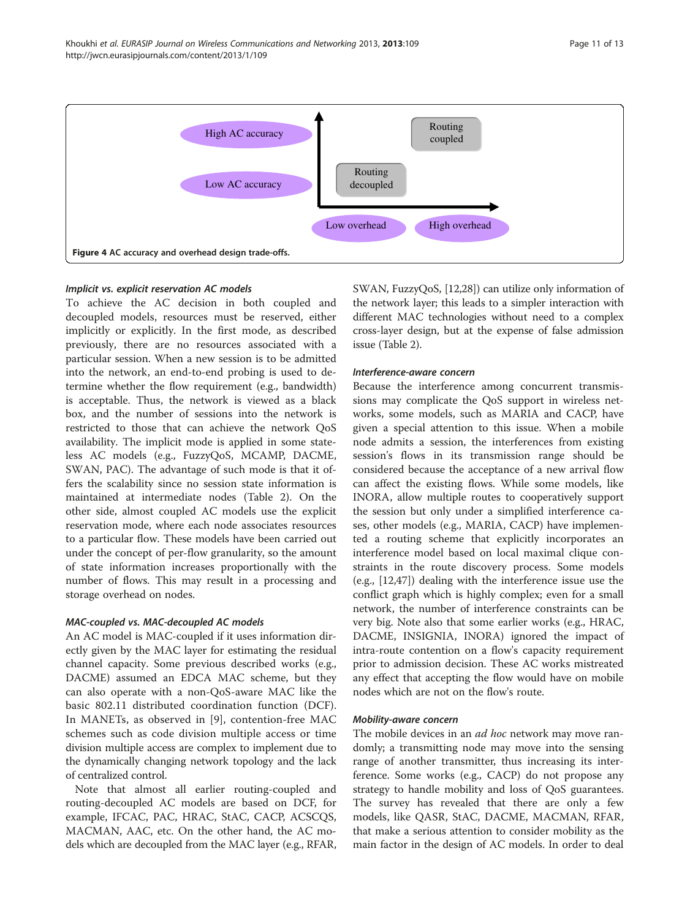<span id="page-10-0"></span>

# Implicit vs. explicit reservation AC models

To achieve the AC decision in both coupled and decoupled models, resources must be reserved, either implicitly or explicitly. In the first mode, as described previously, there are no resources associated with a particular session. When a new session is to be admitted into the network, an end-to-end probing is used to determine whether the flow requirement (e.g., bandwidth) is acceptable. Thus, the network is viewed as a black box, and the number of sessions into the network is restricted to those that can achieve the network QoS availability. The implicit mode is applied in some stateless AC models (e.g., FuzzyQoS, MCAMP, DACME, SWAN, PAC). The advantage of such mode is that it offers the scalability since no session state information is maintained at intermediate nodes (Table [2\)](#page-9-0). On the other side, almost coupled AC models use the explicit reservation mode, where each node associates resources to a particular flow. These models have been carried out under the concept of per-flow granularity, so the amount of state information increases proportionally with the number of flows. This may result in a processing and storage overhead on nodes.

# MAC-coupled vs. MAC-decoupled AC models

An AC model is MAC-coupled if it uses information directly given by the MAC layer for estimating the residual channel capacity. Some previous described works (e.g., DACME) assumed an EDCA MAC scheme, but they can also operate with a non-QoS-aware MAC like the basic 802.11 distributed coordination function (DCF). In MANETs, as observed in [[9\]](#page-11-0), contention-free MAC schemes such as code division multiple access or time division multiple access are complex to implement due to the dynamically changing network topology and the lack of centralized control.

Note that almost all earlier routing-coupled and routing-decoupled AC models are based on DCF, for example, IFCAC, PAC, HRAC, StAC, CACP, ACSCQS, MACMAN, AAC, etc. On the other hand, the AC models which are decoupled from the MAC layer (e.g., RFAR, SWAN, FuzzyQoS, [\[12,](#page-11-0)[28](#page-12-0)]) can utilize only information of the network layer; this leads to a simpler interaction with different MAC technologies without need to a complex cross-layer design, but at the expense of false admission issue (Table [2](#page-9-0)).

# Interference-aware concern

Because the interference among concurrent transmissions may complicate the QoS support in wireless networks, some models, such as MARIA and CACP, have given a special attention to this issue. When a mobile node admits a session, the interferences from existing session's flows in its transmission range should be considered because the acceptance of a new arrival flow can affect the existing flows. While some models, like INORA, allow multiple routes to cooperatively support the session but only under a simplified interference cases, other models (e.g., MARIA, CACP) have implemented a routing scheme that explicitly incorporates an interference model based on local maximal clique constraints in the route discovery process. Some models (e.g., [\[12](#page-11-0)[,47\]](#page-12-0)) dealing with the interference issue use the conflict graph which is highly complex; even for a small network, the number of interference constraints can be very big. Note also that some earlier works (e.g., HRAC, DACME, INSIGNIA, INORA) ignored the impact of intra-route contention on a flow's capacity requirement prior to admission decision. These AC works mistreated any effect that accepting the flow would have on mobile nodes which are not on the flow's route.

# Mobility-aware concern

The mobile devices in an *ad hoc* network may move randomly; a transmitting node may move into the sensing range of another transmitter, thus increasing its interference. Some works (e.g., CACP) do not propose any strategy to handle mobility and loss of QoS guarantees. The survey has revealed that there are only a few models, like QASR, StAC, DACME, MACMAN, RFAR, that make a serious attention to consider mobility as the main factor in the design of AC models. In order to deal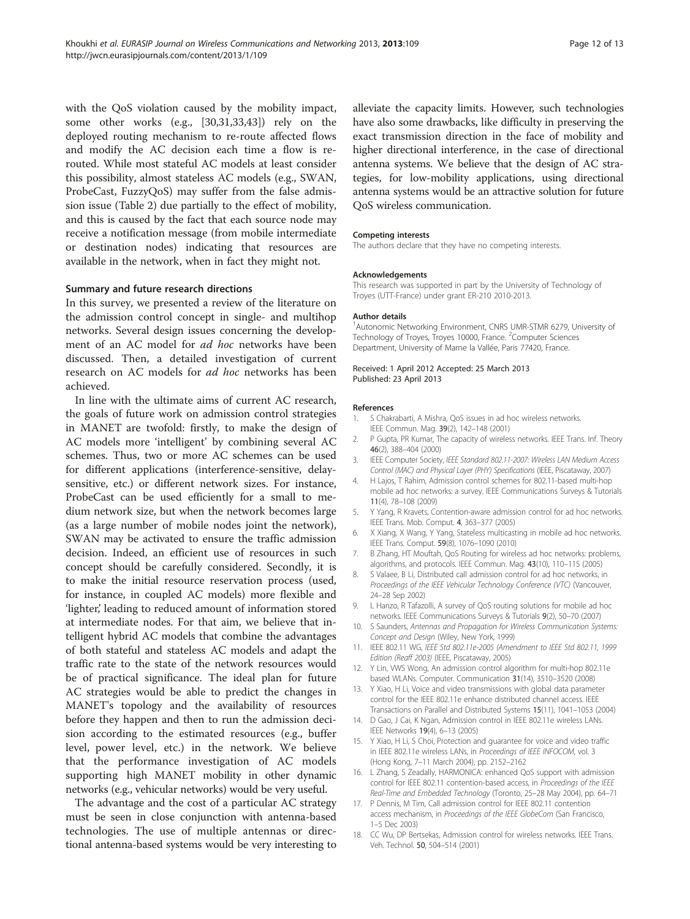<span id="page-11-0"></span>with the QoS violation caused by the mobility impact, some other works (e.g., [[30,31,33,43\]](#page-12-0)) rely on the deployed routing mechanism to re-route affected flows and modify the AC decision each time a flow is rerouted. While most stateful AC models at least consider this possibility, almost stateless AC models (e.g., SWAN, ProbeCast, FuzzyQoS) may suffer from the false admission issue (Table [2](#page-9-0)) due partially to the effect of mobility, and this is caused by the fact that each source node may receive a notification message (from mobile intermediate or destination nodes) indicating that resources are available in the network, when in fact they might not.

#### Summary and future research directions

In this survey, we presented a review of the literature on the admission control concept in single- and multihop networks. Several design issues concerning the development of an AC model for ad hoc networks have been discussed. Then, a detailed investigation of current research on AC models for ad hoc networks has been achieved.

In line with the ultimate aims of current AC research, the goals of future work on admission control strategies in MANET are twofold: firstly, to make the design of AC models more 'intelligent' by combining several AC schemes. Thus, two or more AC schemes can be used for different applications (interference-sensitive, delaysensitive, etc.) or different network sizes. For instance, ProbeCast can be used efficiently for a small to medium network size, but when the network becomes large (as a large number of mobile nodes joint the network), SWAN may be activated to ensure the traffic admission decision. Indeed, an efficient use of resources in such concept should be carefully considered. Secondly, it is to make the initial resource reservation process (used, for instance, in coupled AC models) more flexible and 'lighter,' leading to reduced amount of information stored at intermediate nodes. For that aim, we believe that intelligent hybrid AC models that combine the advantages of both stateful and stateless AC models and adapt the traffic rate to the state of the network resources would be of practical significance. The ideal plan for future AC strategies would be able to predict the changes in MANET's topology and the availability of resources before they happen and then to run the admission decision according to the estimated resources (e.g., buffer level, power level, etc.) in the network. We believe that the performance investigation of AC models supporting high MANET mobility in other dynamic networks (e.g., vehicular networks) would be very useful.

The advantage and the cost of a particular AC strategy must be seen in close conjunction with antenna-based technologies. The use of multiple antennas or directional antenna-based systems would be very interesting to alleviate the capacity limits. However, such technologies have also some drawbacks, like difficulty in preserving the exact transmission direction in the face of mobility and higher directional interference, in the case of directional antenna systems. We believe that the design of AC strategies, for low-mobility applications, using directional antenna systems would be an attractive solution for future QoS wireless communication.

#### Competing interests

The authors declare that they have no competing interests.

#### Acknowledgements

This research was supported in part by the University of Technology of Troyes (UTT-France) under grant ER-210 2010-2013.

#### Author details

<sup>1</sup> Autonomic Networking Environment, CNRS UMR-STMR 6279, University of Technology of Troyes, Troyes 10000, France. <sup>2</sup>Computer Sciences Department, University of Marne la Vallée, Paris 77420, France.

#### Received: 1 April 2012 Accepted: 25 March 2013 Published: 23 April 2013

#### References

- 1. S Chakrabarti, A Mishra, QoS issues in ad hoc wireless networks. IEEE Commun. Mag. 39(2), 142–148 (2001)
- 2. P Gupta, PR Kumar, The capacity of wireless networks. IEEE Trans. Inf. Theory 46(2), 388–404 (2000)
- 3. IEEE Computer Society, IEEE Standard 802.11-2007: Wireless LAN Medium Access Control (MAC) and Physical Layer (PHY) Specifications (IEEE, Piscataway, 2007)
- 4. H Lajos, T Rahim, Admission control schemes for 802.11-based multi-hop mobile ad hoc networks: a survey. IEEE Communications Surveys & Tutorials 11(4), 78–108 (2009)
- 5. Y Yang, R Kravets, Contention-aware admission control for ad hoc networks. IEEE Trans. Mob. Comput. 4, 363–377 (2005)
- 6. X Xiang, X Wang, Y Yang, Stateless multicasting in mobile ad hoc networks. IEEE Trans. Comput. 59(8), 1076–1090 (2010)
- 7. B Zhang, HT Mouftah, QoS Routing for wireless ad hoc networks: problems, algorithms, and protocols. IEEE Commun. Mag. 43(10), 110–115 (2005)
- 8. S Valaee, B Li, Distributed call admission control for ad hoc networks, in Proceedings of the IEEE Vehicular Technology Conference (VTC) (Vancouver, 24–28 Sep 2002)
- 9. L Hanzo, R Tafazolli, A survey of QoS routing solutions for mobile ad hoc networks. IEEE Communications Surveys & Tutorials 9(2), 50–70 (2007)
- 10. S Saunders, Antennas and Propagation for Wireless Communication Systems: Concept and Design (Wiley, New York, 1999)
- 11. IEEE 802.11 WG, IEEE Std 802.11e-2005 (Amendment to IEEE Std 802.11, 1999 Edition (Reaff 2003) (IEEE, Piscataway, 2005)
- 12. Y Lin, VWS Wong, An admission control algorithm for multi-hop 802.11e based WLANs. Computer. Communication 31(14), 3510–3520 (2008)
- 13. Y Xiao, H Li, Voice and video transmissions with global data parameter control for the IEEE 802.11e enhance distributed channel access. IEEE Transactions on Parallel and Distributed Systems 15(11), 1041–1053 (2004)
- 14. D Gao, J Cai, K Ngan, Admission control in IEEE 802.11e wireless LANs. IEEE Networks 19(4), 6–13 (2005)
- 15. Y Xiao, H Li, S Choi, Protection and guarantee for voice and video traffic in IEEE 802.11e wireless LANs, in Proceedings of IEEE INFOCOM, vol. 3 (Hong Kong, 7–11 March 2004), pp. 2152–2162
- 16. L Zhang, S Zeadally, HARMONICA: enhanced QoS support with admission control for IEEE 802.11 contention-based access, in Proceedings of the IEEE Real-Time and Embedded Technology (Toronto, 25–28 May 2004), pp. 64–71
- 17. P Dennis, M Tim, Call admission control for IEEE 802.11 contention access mechanism, in Proceedings of the IEEE GlobeCom (San Francisco, 1–5 Dec 2003)
- 18. CC Wu, DP Bertsekas, Admission control for wireless networks. IEEE Trans. Veh. Technol. 50, 504–514 (2001)